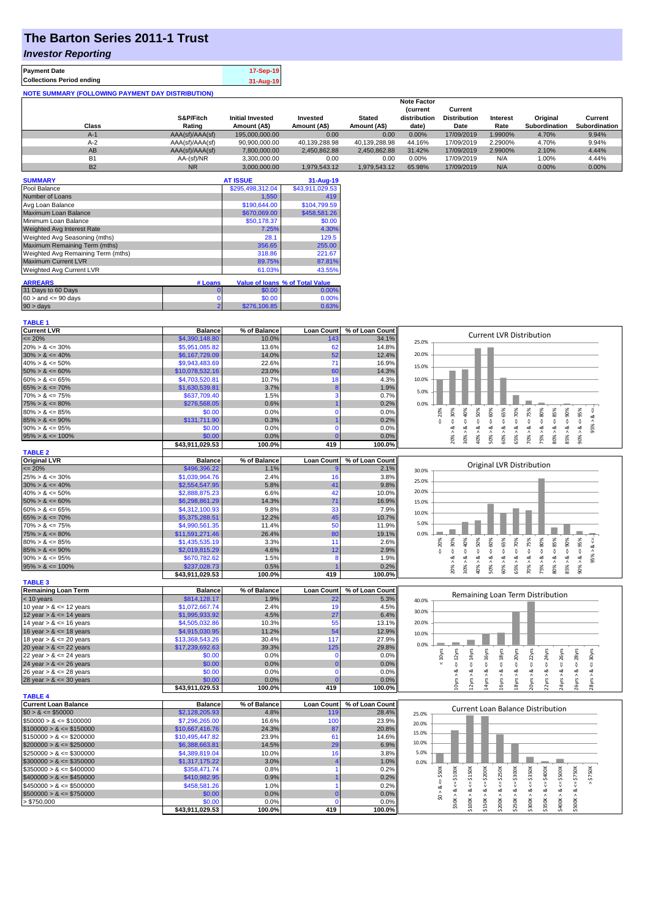# **The Barton Series 2011-1 Trust**

### *Investor Reporting*

| <b>Payment Date</b>                                      | 17-Sep-19 |
|----------------------------------------------------------|-----------|
| <b>Collections Period ending</b>                         | 31-Aug-19 |
| <b>NOTE SUMMARY (FOLLOWING PAYMENT DAY DISTRIBUTION)</b> |           |

|           |                 |                         |               |               | <b>Note Factor</b> |                     |                 |               |               |
|-----------|-----------------|-------------------------|---------------|---------------|--------------------|---------------------|-----------------|---------------|---------------|
|           |                 |                         |               |               | <b>Current</b>     | Current             |                 |               |               |
|           | S&P/Fitch       | <b>Initial Invested</b> | Invested      | <b>Stated</b> | distribution       | <b>Distribution</b> | <b>Interest</b> | Original      | Current       |
| Class     | Rating          | Amount (A\$)            | Amount (A\$)  | Amount (A\$)  | date)              | Date                | Rate            | Subordination | Subordination |
| $A-1$     | AAA(sf)/AAA(sf) | 195,000,000,00          | 0.00          | 0.00          | 0.00%              | 17/09/2019          | 1.9900%         | 4.70%         | 9.94%         |
| $A-2$     | AAA(sf)/AAA(sf) | 90,900,000.00           | 40.139.288.98 | 40.139.288.98 | 44.16%             | 17/09/2019          | 2.2900%         | 4.70%         | 9.94%         |
| AB        | AAA(sf)/AAA(sf) | 7.800.000.00            | 2.450.862.88  | 2.450.862.88  | 31.42%             | 17/09/2019          | 2.9900%         | 2.10%         | 4.44%         |
| B1        | AA-(sf)/NR      | 3.300.000.00            | 0.00          | 0.00          | $0.00\%$           | 17/09/2019          | N/A             | 1.00%         | 4.44%         |
| <b>B2</b> | <b>NR</b>       | 3.000.000.00            | 1.979.543.12  | 1.979.543.12  | 65.98%             | 17/09/2019          | N/A             | $0.00\%$      | 0.00%         |

| <b>SUMMARY</b>                     |                | <b>AT ISSUE</b>  | 31-Aug-19                       |
|------------------------------------|----------------|------------------|---------------------------------|
| Pool Balance                       |                | \$295,498,312.04 | \$43,911,029.53                 |
| Number of Loans                    |                | 1,550            | 419                             |
| Avg Loan Balance                   |                | \$190,644.00     | \$104,799.59                    |
| Maximum Loan Balance               |                | \$670,069.00     | \$458,581.26                    |
| Minimum Loan Balance               |                | \$50.178.37      | \$0.00                          |
| <b>Weighted Avg Interest Rate</b>  |                | 7.25%            | 4.30%                           |
| Weighted Avg Seasoning (mths)      |                | 28.1             | 129.5                           |
| Maximum Remaining Term (mths)      |                | 356.65           | 255.00                          |
| Weighted Avg Remaining Term (mths) |                | 318.86           | 221.67                          |
| <b>Maximum Current LVR</b>         |                | 89.75%           | 87.81%                          |
| Weighted Avg Current LVR           |                | 61.03%           | 43.55%                          |
| <b>ARREARS</b>                     | # Loans        |                  | Value of Ioans % of Total Value |
| 31 Days to 60 Days                 |                |                  |                                 |
|                                    | 0              | \$0.00           | $0.00\%$                        |
| $60 >$ and $\leq 90$ days          | 0              | \$0.00           | 0.00%                           |
| $90 > \text{days}$                 | $\overline{2}$ | \$276,106.85     | 0.63%                           |

| <b>TABLE 1</b>               |                           |                |                   |                 |                                                                                                                                                                                             |
|------------------------------|---------------------------|----------------|-------------------|-----------------|---------------------------------------------------------------------------------------------------------------------------------------------------------------------------------------------|
| <b>Current LVR</b>           | <b>Balance</b>            | % of Balance   | <b>Loan Count</b> | % of Loan Count |                                                                                                                                                                                             |
| $\leq$ 20%                   | \$4,390,148.80            | 10.0%          | 143               | 34.1%           | <b>Current LVR Distribution</b><br>25.0%                                                                                                                                                    |
| $20\% > 8 \le 30\%$          | \$5,951,085.82            | 13.6%          | 62                | 14.8%           |                                                                                                                                                                                             |
| $30\% > 8 \le 40\%$          | \$6,167,729.09            | 14.0%          | 52                | 12.4%           | 20.0%                                                                                                                                                                                       |
| $40\% > 8 \le 50\%$          | \$9,943,483.69            | 22.6%          | 71                | 16.9%           |                                                                                                                                                                                             |
| $50\% > 8 \le 60\%$          | \$10,078,532.16           | 23.0%          | 60                | 14.3%           | 15.0%                                                                                                                                                                                       |
| $60\% > 8 \le 65\%$          | \$4,703,520.81            | 10.7%          | 18                | 4.3%            | 10.0%                                                                                                                                                                                       |
| $65\% > 8 \le 70\%$          | \$1,630,539.81            | 3.7%           | 8                 | 1.9%            |                                                                                                                                                                                             |
| $70\% > 8 \le 75\%$          | \$637,709.40              | 1.5%           | 3                 | 0.7%            | 5.0%                                                                                                                                                                                        |
| $75\% > 8 \le 80\%$          | \$276,568.05              | 0.6%           |                   | 0.2%            | 0.0%                                                                                                                                                                                        |
| $80\% > 8 \le 85\%$          | \$0.00                    | 0.0%           | $\mathbf 0$       | 0.0%            | 65%<br>70%<br>20%<br>95%                                                                                                                                                                    |
| $85\% > 8 \le 90\%$          | \$131,711.90              | 0.3%           |                   | 0.2%            | $\le 60\%$<br>$8 - 30%$<br>$<=50\%$<br>$<=80\%$<br>$\frac{8}{10}$<br>₹<br>V                                                                                                                 |
| $90\% > 8 \le 95\%$          | \$0.00                    | 0.0%           | $\Omega$          | 0.0%            | 8 <<br>95%<br>ઌ                                                                                                                                                                             |
| $95\% > 8 \le 100\%$         | \$0.00                    | 0.0%           |                   | 0.0%            | $30\% > 8 <= 40\%$<br>$70\% > 8 <= 75\%$<br>$80\% > 8 <= 85\%$<br>$85\% > 8 < = 90\%$<br>50% > 8<br>60% > 8<br>75% > 8<br>40% ><br>65% >                                                    |
|                              | \$43,911,029.53           | 100.0%         | 419               | 100.0%          | 20%<br>90%                                                                                                                                                                                  |
| <b>TABLE 2</b>               |                           |                |                   |                 |                                                                                                                                                                                             |
| <b>Original LVR</b>          | <b>Balance</b>            | % of Balance   | <b>Loan Count</b> | % of Loan Count |                                                                                                                                                                                             |
| $= 20%$                      | \$496,396.22              | 1.1%           |                   | 2.1%            | Original LVR Distribution<br>30.0%                                                                                                                                                          |
| $25\% > 8 \le 30\%$          | \$1,039,964.76            | 2.4%           | 16                | 3.8%            |                                                                                                                                                                                             |
| $30\% > 8 \le 40\%$          | \$2,554,547.95            | 5.8%           | 41                | 9.8%            | 25.0%                                                                                                                                                                                       |
| $40\% > 8 \le 50\%$          | \$2,888,875.23            | 6.6%           | 42                | 10.0%           | 20.0%                                                                                                                                                                                       |
| $50\% > 8 \le 60\%$          | \$6,298,861.29            | 14.3%          | 71                | 16.9%           | 15.0%                                                                                                                                                                                       |
| $60\% > 8 \le 65\%$          | \$4,312,100.93            | 9.8%           | 33                | 7.9%            |                                                                                                                                                                                             |
| $65\% > 8 \le 70\%$          | \$5,375,288.51            | 12.2%          | 45                | 10.7%           | 10.0%                                                                                                                                                                                       |
| $70\% > 8 \le 75\%$          | \$4,990,561.35            | 11.4%          | 50                | 11.9%           | 5.0%                                                                                                                                                                                        |
| $75\% > 8 \le 80\%$          | \$11,591,271.46           | 26.4%          | 80                | 19.1%           | 0.0%                                                                                                                                                                                        |
| $80\% > 8 \le 85\%$          | \$1,435,535.19            | 3.3%           | 11                | 2.6%            | 65%<br>70%<br>30%<br>95%<br>20%                                                                                                                                                             |
| $85\% > 8 \le 90\%$          | \$2,019,815.29            | 4.6%           | 12                | 2.9%            | $4 = 60\%$<br>$4 = 75%$<br>$480\%$<br>$& \leftarrow 85\%$<br>$4 = 90\%$<br>$40\%$<br>$4 = 50\%$<br>ઌ<br>J.<br>V                                                                             |
| $90\% > 8 \le 95\%$          | \$670,782.62              | 1.5%           | 8                 | 1.9%            | ₩<br>₩<br>95% ><br>ઌ<br>$\dot{\infty}$<br>ż<br>ż<br>ಷ<br>ಷ<br>ಷ<br>œ<br>ઌ<br>త                                                                                                              |
| $95\% > 8 \le 100\%$         | \$237,028.73              | 0.5%           |                   | 0.2%            | 70% ><br>$80\%$ ><br>85% ><br>20% ><br>30%<br>50% ><br>60% ><br>65% ><br>75% ><br>$90\%$                                                                                                    |
|                              | \$43,911,029.53           | 100.0%         | 419               | 100.0%          | 40% >                                                                                                                                                                                       |
| <b>TABLE 3</b>               |                           |                |                   |                 |                                                                                                                                                                                             |
| <b>Remaining Loan Term</b>   | <b>Balance</b>            | % of Balance   | <b>Loan Count</b> | % of Loan Count |                                                                                                                                                                                             |
| $<$ 10 years                 | \$814,128.17              | 1.9%           | 22                | 5.3%            | Remaining Loan Term Distribution<br>40.0%                                                                                                                                                   |
| 10 year $> 8 \le 12$ years   | \$1,072,667.74            | 2.4%           | 19                | 4.5%            |                                                                                                                                                                                             |
| 12 year $> 8 \le 14$ years   | \$1,995,933.92            | 4.5%           | 27                | 6.4%            | 30.0%                                                                                                                                                                                       |
| 14 year $> 8 \le 16$ years   | \$4,505,032.86            | 10.3%          | 55                | 13.1%           | 20.0%                                                                                                                                                                                       |
| 16 year $> 8 \le 18$ years   | \$4,915,030.95            | 11.2%          | 54                | 12.9%           |                                                                                                                                                                                             |
| 18 year $> 8 \le 20$ years   | \$13,368,543.26           | 30.4%          | 117               | 27.9%           | 10.0%                                                                                                                                                                                       |
| 20 year $> 8 \le 22$ years   | \$17,239,692.63           | 39.3%          | 125               | 29.8%           | 0.0%                                                                                                                                                                                        |
| 22 year $> 8 \le 24$ years   | \$0.00                    | 0.0%           | $\mathbf 0$       | 0.0%            | $\leq 14$ yrs<br>$< = 16yrs$<br>$\leq 18$ yrs<br>$\leq$ 20yrs<br>$\leq$ 22 $\gamma$ rs<br>$& \leftarrow$ 24yrs<br>$= 12yrs$<br>$\epsilon$ = 26yrs<br>$\leq$ 28yrs<br>30yrs<br>$< 10$ yrs    |
| 24 year $> 8 \le 26$ years   | \$0.00                    | 0.0%           |                   | 0.0%            | ₩                                                                                                                                                                                           |
| 26 year $> 8 \le 28$ years   | \$0.00                    | 0.0%           | $\Omega$          | 0.0%            | ಷ<br>ಹ<br>∞<br>ಹ<br>ವ<br>ಷ<br>ಷ<br>ø<br>∞                                                                                                                                                   |
| 28 year $> 8 \le 30$ years   | \$0.00                    | 0.0%           |                   | 0.0%            | LOyrs ><br>2yrs ><br>saht;                                                                                                                                                                  |
|                              | \$43,911,029.53           | 100.0%         | 419               | 100.0%          | 14yrs ><br>16yrs ><br>18yrs ><br>20yrs ><br>22yrs ><br>26yrs ><br>28yrs >                                                                                                                   |
| <b>TABLE 4</b>               |                           |                |                   |                 |                                                                                                                                                                                             |
| <b>Current Loan Balance</b>  | <b>Balance</b>            | % of Balance   | <b>Loan Count</b> | % of Loan Count |                                                                                                                                                                                             |
| $$0 > 8 \le $50000$          | \$2,128,205.93            | 4.8%           | 119               | 28.4%           | <b>Current Loan Balance Distribution</b><br>25.0%                                                                                                                                           |
| $$50000 > 8 \le $100000$     | \$7,296,265.00            | 16.6%          | 100               | 23.9%           |                                                                                                                                                                                             |
| $$100000 > 8 \le $150000$    | \$10,667,416.76           | 24.3%          | 87                | 20.8%           | 20.0%                                                                                                                                                                                       |
| $$150000 > 8 \leq $200000$   | \$10,495,447.82           | 23.9%          | 61                | 14.6%           | 15.0%                                                                                                                                                                                       |
| $$200000 > 8 \leq $250000$   | \$6,388,663.81            | 14.5%          | 29                | 6.9%            | 10.0%                                                                                                                                                                                       |
| $$250000 > 8 \leq $300000$   | \$4,389,819.04            | 10.0%          | 16                | 3.8%            | 5.0%                                                                                                                                                                                        |
|                              |                           | 3.0%           |                   | 1.0%            | 0.0%                                                                                                                                                                                        |
|                              |                           |                |                   |                 |                                                                                                                                                                                             |
| $\$300000 > 8 \leq \$350000$ | \$1,317,175.22            |                |                   |                 |                                                                                                                                                                                             |
| $$350000 > 8 \leq $400000$   | \$358,471.74              | 0.8%           |                   | 0.2%            |                                                                                                                                                                                             |
| $$400000 > 8 \leq $450000$   | \$410,982.95              | 0.9%           |                   | 0.2%            | $>$ \$750K<br>\$300K<br>\$50K<br>\$250K<br>ű                                                                                                                                                |
| $$450000 > 8 \leq $500000$   | \$458,581.26              | 1.0%           |                   | 0.2%            | $<= $750K$<br>ಷ<br>ಷ                                                                                                                                                                        |
| $$500000 > 8 \leq $750000$   | \$0.00                    | 0.0%           |                   | 0.0%            | $\frac{1}{2}$                                                                                                                                                                               |
| > \$750,000                  | \$0.00<br>\$43,911,029.53 | 0.0%<br>100.0% | $\Omega$<br>419   | 0.0%<br>100.0%  | $$50K > 8 <= $100K$<br>$$100K > 8 <= $150K$<br>$$150K > 8 <= $200K$<br>$$300K > 8 <= $350K$<br>$$350K > 8 <= $400K$<br>$$400K > 8 <= $500K$<br>$$200K > 8 < =$<br>$$250K > 8 < =$<br>\$500K |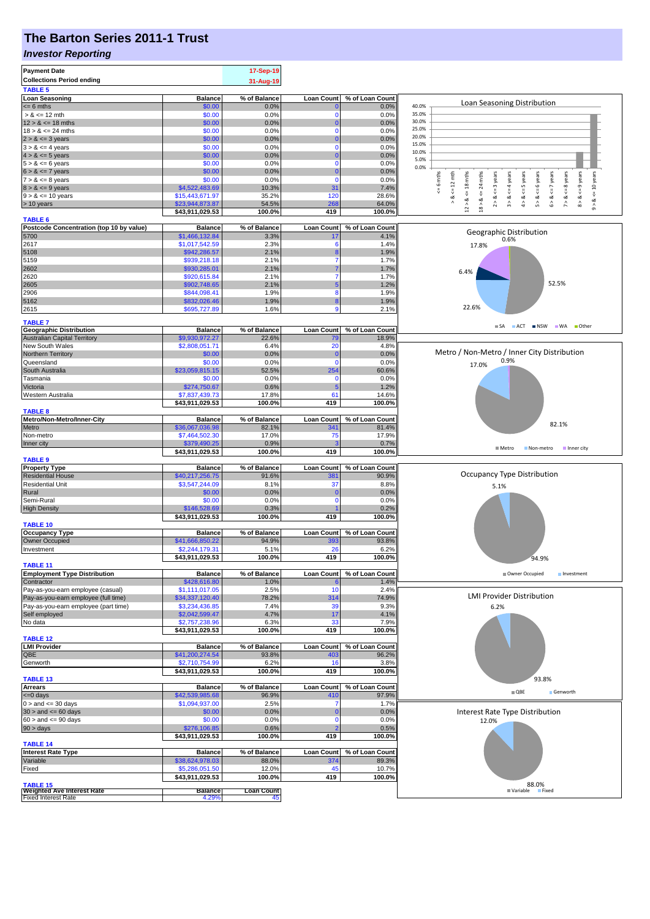# **The Barton Series 2011-1 Trust**

#### *Investor Reporting*

| <b>Payment Date</b>                                                       |                                   | 17-Sep-19               |                          |                          |                                                                                                                                                                                         |
|---------------------------------------------------------------------------|-----------------------------------|-------------------------|--------------------------|--------------------------|-----------------------------------------------------------------------------------------------------------------------------------------------------------------------------------------|
| <b>Collections Period ending</b><br><b>TABLE 5</b>                        |                                   | 31-Aug-19               |                          |                          |                                                                                                                                                                                         |
| <b>Loan Seasoning</b>                                                     | <b>Balance</b>                    | % of Balance            | <b>Loan Count</b>        | % of Loan Count          |                                                                                                                                                                                         |
| $= 6$ mths                                                                | \$0.00                            | 0.0%                    |                          | 0.0%                     | Loan Seasoning Distribution<br>40.0%                                                                                                                                                    |
| $> 8 \le 12$ mth                                                          | \$0.00                            | 0.0%                    | $\Omega$                 | 0.0%                     | 35.0%                                                                                                                                                                                   |
| $12 > 8 \le 18$ mths<br>$18 > 8 \le 24$ mths                              | \$0.00                            | 0.0%                    | n<br>$\Omega$            | 0.0%                     | 30.0%<br>25.0%                                                                                                                                                                          |
| $2 > 8 \le 3$ years                                                       | \$0.00<br>\$0.00                  | 0.0%<br>0.0%            | 0                        | 0.0%<br>0.0%             | 20.0%                                                                                                                                                                                   |
| $3 > 8 \le 4$ years                                                       | \$0.00                            | 0.0%                    | $\Omega$                 | 0.0%                     | 15.0%                                                                                                                                                                                   |
| $4 > 8 \le 5$ years                                                       | \$0.00                            | 0.0%                    | 0                        | 0.0%                     | 10.0%<br>5.0%                                                                                                                                                                           |
| $5 > 8 \le 6$ years                                                       | \$0.00                            | 0.0%                    | $\Omega$                 | 0.0%                     | 0.0%                                                                                                                                                                                    |
| $6 > 8 \le 7$ years<br>$7 > 8 \le 8$ years                                | \$0.00<br>\$0.00                  | 0.0%                    | 0<br>$\Omega$            | 0.0%                     |                                                                                                                                                                                         |
| $8 > 8 \le 9$ years                                                       | \$4,522,483.69                    | 0.0%<br>10.3%           | 31                       | 0.0%<br>7.4%             | $\leq$ 6 mths<br>24 mths<br>$8 > 8 < 9$ years<br>$\leq 12$ mth<br>$\leq$ = 3 years<br>$4 > 8 \leq 5$ years<br>6 years<br>$\leq$ 7 years<br>8 years<br>& <= 10 years<br>$\leq$ = 4 years |
| $9 > 8 \le 10$ years                                                      | \$15,443,671.97                   | 35.2%                   | 120                      | 28.6%                    | Ÿ<br>Y<br>₹<br>ವ<br>ಷ<br>ಹ<br>∞                                                                                                                                                         |
| > 10 years                                                                | \$23,944,873.87                   | 54.5%                   | 268                      | 64.0%                    | $12 > 8$ <= 18 mths<br>2 > 8<br>6 > 8<br>$18 > 8$<br>$\hat{\boldsymbol{\delta}}$<br>$\hat{\cdot}$<br>$\hat{7}$<br>$\hat{0}$                                                             |
|                                                                           | \$43,911,029.53                   | 100.0%                  | 419                      | 100.0%                   |                                                                                                                                                                                         |
| <b>TABLE 6</b><br>Postcode Concentration (top 10 by value)                | <b>Balance</b>                    | % of Balance            | Loan Count               | % of Loan Count          |                                                                                                                                                                                         |
| 5700                                                                      | \$1,466,132.84                    | 3.3%                    | 17                       | 4.1%                     | Geographic Distribution                                                                                                                                                                 |
| 2617                                                                      | \$1,017,542.59                    | 2.3%                    | 6                        | 1.4%                     | 0.6%<br>17.8%                                                                                                                                                                           |
| 5108                                                                      | \$942,286.57                      | 2.1%                    | 8                        | 1.9%                     |                                                                                                                                                                                         |
| 5159                                                                      | \$939,218.18                      | 2.1%                    | 7                        | 1.7%                     |                                                                                                                                                                                         |
| 2602<br>2620                                                              | \$930,285.01<br>\$920,615.84      | 2.1%<br>2.1%            |                          | 1.7%<br>1.7%             | 6.4%                                                                                                                                                                                    |
| 2605                                                                      | \$902,748.65                      | 2.1%                    |                          | 1.2%                     | 52.5%                                                                                                                                                                                   |
| 2906                                                                      | \$844,098.41                      | 1.9%                    | 8                        | 1.9%                     |                                                                                                                                                                                         |
| 5162                                                                      | \$832,026.46                      | 1.9%                    | 8                        | 1.9%                     |                                                                                                                                                                                         |
| 2615                                                                      | \$695,727.89                      | 1.6%                    | 9                        | 2.1%                     | 22.6%                                                                                                                                                                                   |
| <b>TABLE 7</b>                                                            |                                   |                         |                          |                          | ≣ SA<br><b>■ ACT ■ NSW ■ WA</b><br>■ Other                                                                                                                                              |
| <b>Geographic Distribution</b><br><b>Australian Capital Territory</b>     | <b>Balance</b><br>\$9,930,972.27  | % of Balance<br>22.6%   | <b>Loan Count</b><br>79  | % of Loan Count<br>18.9% |                                                                                                                                                                                         |
| New South Wales                                                           | \$2,808,051.71                    | 6.4%                    | 20                       | 4.8%                     |                                                                                                                                                                                         |
| Northern Territory                                                        | \$0.00                            | 0.0%                    | $\mathbf 0$              | 0.0%                     | Metro / Non-Metro / Inner City Distribution                                                                                                                                             |
| Queensland                                                                | \$0.00                            | 0.0%                    | $\Omega$                 | 0.0%                     | 0.9%<br>17.0%                                                                                                                                                                           |
| South Australia                                                           | \$23,059,815.15                   | 52.5%                   | 254                      | 60.6%                    |                                                                                                                                                                                         |
| Tasmania<br>Victoria                                                      | \$0.00<br>\$274,750.67            | 0.0%<br>0.6%            | C<br>5                   | 0.0%<br>1.2%             |                                                                                                                                                                                         |
| Western Australia                                                         | \$7,837,439.73                    | 17.8%                   | 61                       | 14.6%                    |                                                                                                                                                                                         |
|                                                                           | \$43,911,029.53                   | 100.0%                  | 419                      | 100.0%                   |                                                                                                                                                                                         |
| <b>TABLE 8</b>                                                            |                                   |                         |                          |                          |                                                                                                                                                                                         |
| Metro/Non-Metro/Inner-City<br>Metro                                       | <b>Balance</b><br>\$36,067,036.98 | % of Balance<br>82.1%   | <b>Loan Count</b><br>341 | % of Loan Count<br>81.4% | 82.1%                                                                                                                                                                                   |
| Non-metro                                                                 | \$7,464,502.30                    | 17.0%                   | 75                       | 17.9%                    |                                                                                                                                                                                         |
| Inner city                                                                | \$379,490.25                      | 0.9%                    |                          | 0.7%                     |                                                                                                                                                                                         |
|                                                                           | \$43,911,029.53                   | 100.0%                  | 419                      | 100.0%                   | ■ Metro<br>Non-metro Inner city                                                                                                                                                         |
| <b>TABLE 9</b>                                                            | <b>Balance</b>                    | % of Balance            | <b>Loan Count</b>        | % of Loan Count          |                                                                                                                                                                                         |
| <b>Property Type</b><br><b>Residential House</b>                          | \$40,217,256.75                   | 91.6%                   | 38 <sup>′</sup>          | 90.9%                    | Occupancy Type Distribution                                                                                                                                                             |
| <b>Residential Unit</b>                                                   | \$3,547,244.09                    | 8.1%                    | 37                       | 8.8%                     | 5.1%                                                                                                                                                                                    |
| Rural                                                                     | \$0.00                            | 0.0%                    | C                        | 0.0%                     |                                                                                                                                                                                         |
| Semi-Rural                                                                | \$0.00                            | 0.0%                    | C                        | 0.0%                     |                                                                                                                                                                                         |
| <b>High Density</b>                                                       | \$146,528.69<br>\$43,911,029.53   | 0.3%<br>100.0%          | 419                      | 0.2%<br>100.0%           |                                                                                                                                                                                         |
| <b>TABLE 10</b>                                                           |                                   |                         |                          |                          |                                                                                                                                                                                         |
| <b>Occupancy Type</b>                                                     | <b>Balance</b>                    | % of Balance            | <b>Loan Count</b>        | % of Loan Count          |                                                                                                                                                                                         |
| Owner Occupied                                                            | \$41,666,850.22                   | 94.9%                   | 393                      | 93.8%                    |                                                                                                                                                                                         |
| Investment                                                                | \$2,244,179.31<br>\$43,911,029.53 | 5.1%<br>100.0%          | 26<br>419                | 6.2%<br>100.0%           |                                                                                                                                                                                         |
| <b>TABLE 11</b>                                                           |                                   |                         |                          |                          | 94.9%                                                                                                                                                                                   |
| <b>Employment Type Distribution</b>                                       | <b>Balance</b>                    | % of Balance            | <b>Loan Count</b>        | % of Loan Count          | Owner Occupied<br>Investment                                                                                                                                                            |
| Contractor                                                                | \$428,616.80                      | 1.0%                    |                          | 1.4%                     |                                                                                                                                                                                         |
| Pay-as-you-earn employee (casual)<br>Pay-as-you-earn employee (full time) | \$1,111,017.05<br>\$34,337,120.40 | 2.5%<br>78.2%           | 10<br>314                | 2.4%<br>74.9%            | <b>LMI Provider Distribution</b>                                                                                                                                                        |
| Pay-as-you-earn employee (part time)                                      | \$3,234,436.85                    | 7.4%                    | 39                       | 9.3%                     | 6.2%                                                                                                                                                                                    |
| Self employed                                                             | \$2,042,599.47                    | 4.7%                    | 17                       | 4.1%                     |                                                                                                                                                                                         |
| No data                                                                   | \$2,757,238.96                    | 6.3%                    | 33                       | 7.9%                     |                                                                                                                                                                                         |
| <b>TABLE 12</b>                                                           | \$43,911,029.53                   | 100.0%                  | 419                      | 100.0%                   |                                                                                                                                                                                         |
| <b>LMI Provider</b>                                                       | <b>Balance</b>                    | % of Balance            | <b>Loan Count</b>        | % of Loan Count          |                                                                                                                                                                                         |
| QBE                                                                       | \$41,200,274.54                   | 93.8%                   | 403                      | 96.2%                    |                                                                                                                                                                                         |
| Genworth                                                                  | \$2,710,754.99                    | 6.2%                    | 16                       | 3.8%                     |                                                                                                                                                                                         |
|                                                                           | \$43,911,029.53                   | 100.0%                  | 419                      | 100.0%                   |                                                                                                                                                                                         |
| <b>TABLE 13</b><br><b>Arrears</b>                                         | <b>Balance</b>                    | % of Balance            | <b>Loan Count</b>        | % of Loan Count          | 93.8%                                                                                                                                                                                   |
| $\leq 0$ days                                                             | \$42,539,985.68                   | 96.9%                   | 410                      | 97.9%                    | $\blacksquare$ QBE<br>Genworth                                                                                                                                                          |
| $0 >$ and $\leq$ 30 days                                                  | \$1,094,937.00                    | 2.5%                    |                          | 1.7%                     |                                                                                                                                                                                         |
| $30 >$ and $\leq 60$ days                                                 | \$0.00                            | 0.0%                    | 0                        | 0.0%                     | Interest Rate Type Distribution                                                                                                                                                         |
| $60 >$ and $\leq 90$ days                                                 | \$0.00<br>\$276,106.85            | 0.0%<br>0.6%            |                          | 0.0%<br>0.5%             | 12.0%                                                                                                                                                                                   |
| $90 > \text{days}$                                                        | \$43,911,029.53                   | 100.0%                  | 419                      | 100.0%                   |                                                                                                                                                                                         |
| <b>TABLE 14</b>                                                           |                                   |                         |                          |                          |                                                                                                                                                                                         |
| <b>Interest Rate Type</b>                                                 | <b>Balance</b>                    | % of Balance            | <b>Loan Count</b>        | % of Loan Count          |                                                                                                                                                                                         |
| Variable                                                                  | \$38,624,978.03                   | 88.0%                   | 374                      | 89.3%                    |                                                                                                                                                                                         |
| Fixed                                                                     | \$5,286,051.50<br>\$43,911,029.53 | 12.0%<br>100.0%         | 45<br>419                | 10.7%<br>100.0%          |                                                                                                                                                                                         |
| <b>TABLE 15</b>                                                           |                                   |                         |                          |                          | 88.0%                                                                                                                                                                                   |
| <b>Weighted Ave Interest Rate</b><br><b>Fixed Interest Rate</b>           | <b>Balance</b><br>4.29%           | <b>Loan Count</b><br>45 |                          |                          | ■ Variable<br>Fixed                                                                                                                                                                     |